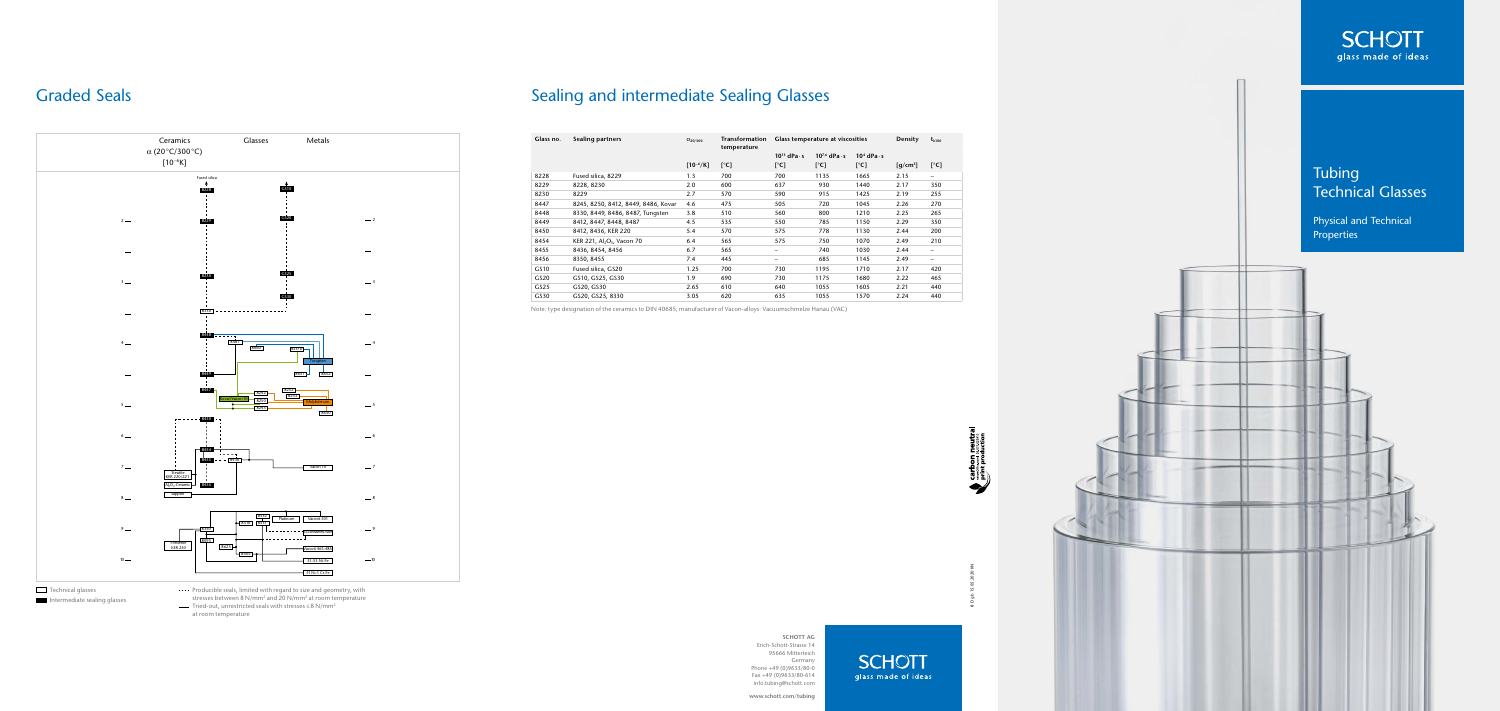8 D gb 15.05.2020 KN

Tubing

Technical Glasses

Physical and Technical

Properties

**SCHOTT AG** Erich-Schott-Strasse 14 95666 Mitterteich Germany Phone +49 (0)9633/80-0 Fax +49 (0)9633/80-614 info.tubing@schott.com

**www.schott.com/tubing**

**SCHOTT** glass made of ideas



| Glass no.        | <b>Sealing partners</b>                            | $\alpha_{20/300}$ | Transformation<br>temperature |                                                     | Glass temperature at viscosities | <b>Density</b>      | $t_{k100}$                        |                          |
|------------------|----------------------------------------------------|-------------------|-------------------------------|-----------------------------------------------------|----------------------------------|---------------------|-----------------------------------|--------------------------|
|                  |                                                    |                   |                               | $10^{13}$ dPa $\cdot$ s<br>$10^{7,6}$ dPa $\cdot$ s |                                  | $104$ dPa $\cdot$ s |                                   |                          |
|                  |                                                    | $[10^{-6}/K]$     | $\lceil^{\circ}$ C]           | $\lceil{^{\circ}C}\rceil$                           | $\lceil{^{\circ}C}\rceil$        | $[^{\circ}C]$       | $\left\lceil q/cm^3 \right\rceil$ | $[^{\circ}C]$            |
| 8228             | Fused silica, 8229                                 | 1.3               | 700                           | 700                                                 | 1135                             | 1665                | 2.15                              | $\qquad \qquad -$        |
| 8229             | 8228, 8230                                         | 2.0               | 600                           | 637                                                 | 930                              | 1440                | 2.17                              | 350                      |
| 8230             | 8229                                               | 2.7               | 570                           | 590                                                 | 915                              | 1425                | 2.19                              | 255                      |
| 8447             | 8245, 8250, 8412, 8449, 8486, Kovar                | 4.6               | 475                           | 505                                                 | 720                              | 1045                | 2.26                              | 270                      |
| 8448             | 8330, 8449, 8486, 8487, Tungsten                   | 3.8               | 510                           | 560                                                 | 800                              | 1210                | 2.25                              | 265                      |
| 8449             | 8412, 8447, 8448, 8487                             | 4.5               | 535                           | 550                                                 | 785                              | 1150                | 2.29                              | 350                      |
| 8450             | 8412, 8436, KER 220                                | 5.4               | 570                           | 575                                                 | 778                              | 1130                | 2.44                              | 200                      |
| 8454             | KER 221, Al <sub>2</sub> O <sub>3</sub> , Vacon 70 | 6.4               | 565                           | 575                                                 | 750                              | 1070                | 2.49                              | 210                      |
| 8455             | 8436, 8454, 8456                                   | 6.7               | 565                           | -                                                   | 740                              | 1030                | 2.44                              | $\overline{\phantom{m}}$ |
| 8456             | 8350, 8455                                         | 7.4               | 445                           | -                                                   | 685                              | 1145                | 2.49                              | $\qquad \qquad -$        |
| GS10             | Fused silica, GS20                                 | 1.25              | 700                           | 730                                                 | 1195                             | 1710                | 2.17                              | 420                      |
| GS <sub>20</sub> | GS10, GS25, GS30                                   | 1.9               | 690                           | 730                                                 | 1175                             | 1680                | 2.22                              | 465                      |
| GS25             | GS20, GS30                                         | 2.65              | 610                           | 640                                                 | 1055                             | 1605                | 2.21                              | 440                      |
| GS30             | GS20, GS25, 8330                                   | 3.05              | 620                           | 635                                                 | 1055                             | 1570                | 2.24                              | 440                      |

---- Producible seals, limited with regard to size and geometry, with stresses between 8 N/mm2 and 20 N/mm2 at room temperature Tried-out, unrestricted seals with stresses ≤8 N/mm2

Note: type designation of the ceramics to DIN 40685; manufacturer of Vacon-alloys: Vacuumschmelze Hanau (VAC)



at room temperature

## Graded Seals **Sealing and intermediate Sealing Glasses** Sealing and intermediate Sealing Glasses



### Technical glasses

Intermediate sealing glasses